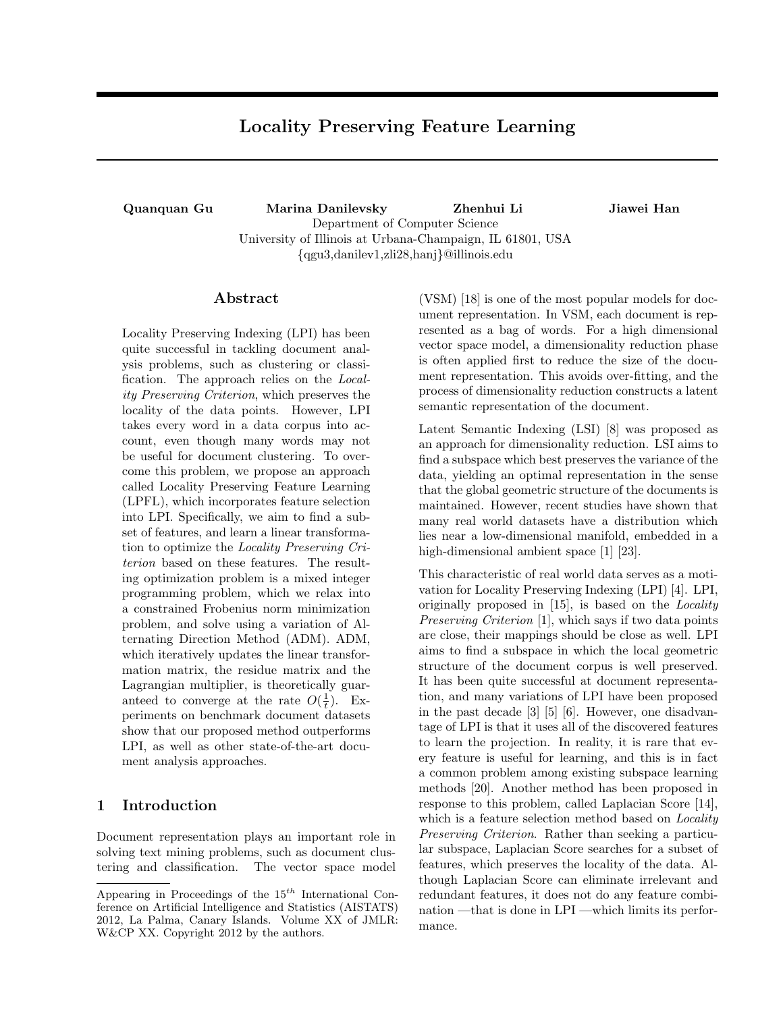# **Locality Preserving Feature Learning**

**Quanquan Gu Marina Danilevsky Zhenhui Li Jiawei Han** Department of Computer Science University of Illinois at Urbana-Champaign, IL 61801, USA *{*qgu3,danilev1,zli28,hanj*}*@illinois.edu

# **Abstract**

Locality Preserving Indexing (LPI) has been quite successful in tackling document analysis problems, such as clustering or classification. The approach relies on the *Locality Preserving Criterion*, which preserves the locality of the data points. However, LPI takes every word in a data corpus into account, even though many words may not be useful for document clustering. To overcome this problem, we propose an approach called Locality Preserving Feature Learning (LPFL), which incorporates feature selection into LPI. Specifically, we aim to find a subset of features, and learn a linear transformation to optimize the *Locality Preserving Criterion* based on these features. The resulting optimization problem is a mixed integer programming problem, which we relax into a constrained Frobenius norm minimization problem, and solve using a variation of Alternating Direction Method (ADM). ADM, which iteratively updates the linear transformation matrix, the residue matrix and the Lagrangian multiplier, is theoretically guaranteed to converge at the rate  $O(\frac{1}{t})$ . Experiments on benchmark document datasets show that our proposed method outperforms LPI, as well as other state-of-the-art document analysis approaches.

# **1 Introduction**

Document representation plays an important role in solving text mining problems, such as document clustering and classification. The vector space model

(VSM) [18] is one of the most popular models for document representation. In VSM, each document is represented as a bag of words. For a high dimensional vector space model, a dimensionality reduction phase is often applied first to reduce the size of the document representation. This avoids over-fitting, and the process of dimensionality reduction constructs a latent semantic representation of the document.

Latent Semantic Indexing (LSI) [8] was proposed as an approach for dimensionality reduction. LSI aims to find a subspace which best preserves the variance of the data, yielding an optimal representation in the sense that the global geometric structure of the documents is maintained. However, recent studies have shown that many real world datasets have a distribution which lies near a low-dimensional manifold, embedded in a high-dimensional ambient space [1] [23].

This characteristic of real world data serves as a motivation for Locality Preserving Indexing (LPI) [4]. LPI, originally proposed in [15], is based on the *Locality Preserving Criterion* [1], which says if two data points are close, their mappings should be close as well. LPI aims to find a subspace in which the local geometric structure of the document corpus is well preserved. It has been quite successful at document representation, and many variations of LPI have been proposed in the past decade [3] [5] [6]. However, one disadvantage of LPI is that it uses all of the discovered features to learn the projection. In reality, it is rare that every feature is useful for learning, and this is in fact a common problem among existing subspace learning methods [20]. Another method has been proposed in response to this problem, called Laplacian Score [14], which is a feature selection method based on *Locality Preserving Criterion*. Rather than seeking a particular subspace, Laplacian Score searches for a subset of features, which preserves the locality of the data. Although Laplacian Score can eliminate irrelevant and redundant features, it does not do any feature combination —that is done in LPI —which limits its performance.

Appearing in Proceedings of the 15*th* International Conference on Artificial Intelligence and Statistics (AISTATS) 2012, La Palma, Canary Islands. Volume XX of JMLR: W&CP XX. Copyright 2012 by the authors.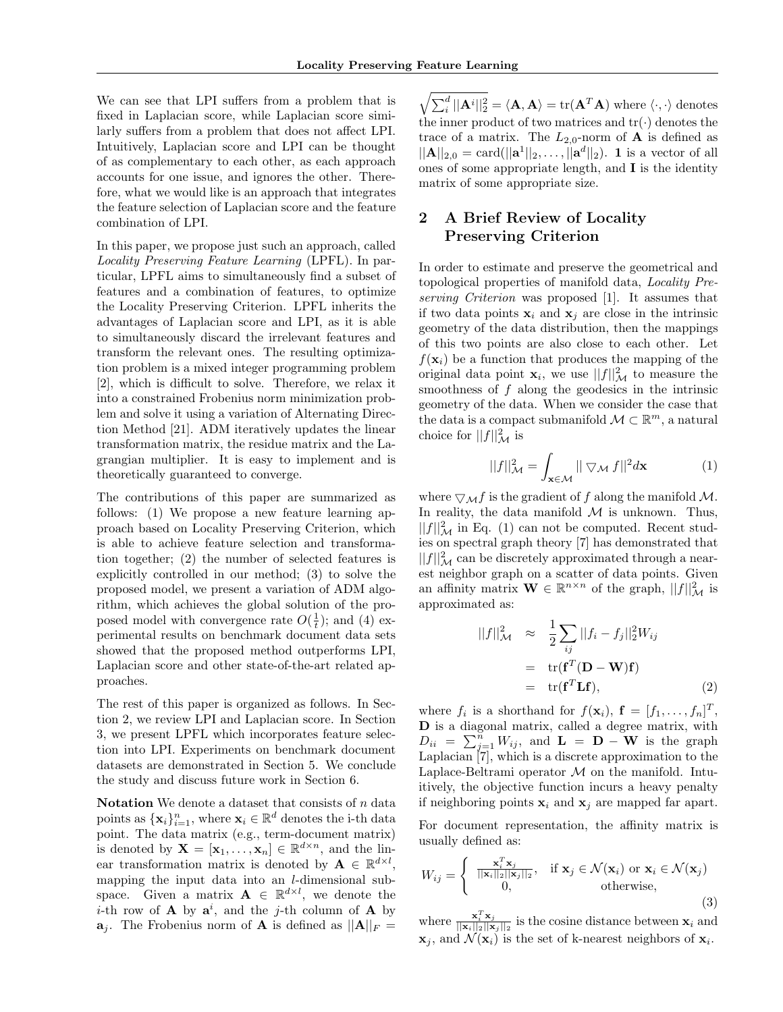We can see that LPI suffers from a problem that is fixed in Laplacian score, while Laplacian score similarly suffers from a problem that does not affect LPI. Intuitively, Laplacian score and LPI can be thought of as complementary to each other, as each approach accounts for one issue, and ignores the other. Therefore, what we would like is an approach that integrates the feature selection of Laplacian score and the feature combination of LPI.

In this paper, we propose just such an approach, called *Locality Preserving Feature Learning* (LPFL). In particular, LPFL aims to simultaneously find a subset of features and a combination of features, to optimize the Locality Preserving Criterion. LPFL inherits the advantages of Laplacian score and LPI, as it is able to simultaneously discard the irrelevant features and transform the relevant ones. The resulting optimization problem is a mixed integer programming problem [2], which is difficult to solve. Therefore, we relax it into a constrained Frobenius norm minimization problem and solve it using a variation of Alternating Direction Method [21]. ADM iteratively updates the linear transformation matrix, the residue matrix and the Lagrangian multiplier. It is easy to implement and is theoretically guaranteed to converge.

The contributions of this paper are summarized as follows: (1) We propose a new feature learning approach based on Locality Preserving Criterion, which is able to achieve feature selection and transformation together; (2) the number of selected features is explicitly controlled in our method; (3) to solve the proposed model, we present a variation of ADM algorithm, which achieves the global solution of the proposed model with convergence rate  $O(\frac{1}{t})$ ; and (4) experimental results on benchmark document data sets showed that the proposed method outperforms LPI, Laplacian score and other state-of-the-art related approaches.

The rest of this paper is organized as follows. In Section 2, we review LPI and Laplacian score. In Section 3, we present LPFL which incorporates feature selection into LPI. Experiments on benchmark document datasets are demonstrated in Section 5. We conclude the study and discuss future work in Section 6.

**Notation** We denote a dataset that consists of *n* data points as  $\{\mathbf{x}_i\}_{i=1}^n$ , where  $\mathbf{x}_i \in \mathbb{R}^d$  denotes the i-th data point. The data matrix (e.g., term-document matrix) is denoted by  $\mathbf{X} = [\mathbf{x}_1, \dots, \mathbf{x}_n] \in \mathbb{R}^{d \times n}$ , and the linear transformation matrix is denoted by  $\mathbf{A} \in \mathbb{R}^{d \times l}$ , mapping the input data into an *l*-dimensional subspace. Given a matrix  $\mathbf{A} \in \mathbb{R}^{d \times l}$ , we denote the *i*-th row of **A** by  $a^i$ , and the *j*-th column of **A** by  $a_j$ . The Frobenius norm of **A** is defined as  $||A||_F =$ 

 $\sqrt{\sum_{i}^{d} ||\mathbf{A}^{i}||_{2}^{2}} = \langle \mathbf{A}, \mathbf{A} \rangle = \text{tr}(\mathbf{A}^{T} \mathbf{A})$  where  $\langle \cdot, \cdot \rangle$  denotes the inner product of two matrices and  $tr(\cdot)$  denotes the trace of a matrix. The  $L_{2,0}$ -norm of **A** is defined as  $||A||_{2,0} = \text{card}(||a^1||_2, \ldots, ||a^d||_2)$ . **1** is a vector of all ones of some appropriate length, and **I** is the identity matrix of some appropriate size.

# **2 A Brief Review of Locality Preserving Criterion**

In order to estimate and preserve the geometrical and topological properties of manifold data, *Locality Preserving Criterion* was proposed [1]. It assumes that if two data points  $\mathbf{x}_i$  and  $\mathbf{x}_j$  are close in the intrinsic geometry of the data distribution, then the mappings of this two points are also close to each other. Let  $f(\mathbf{x}_i)$  be a function that produces the mapping of the original data point  $\mathbf{x}_i$ , we use  $||f||^2_{\mathcal{M}}$  to measure the smoothness of *f* along the geodesics in the intrinsic geometry of the data. When we consider the case that the data is a compact submanifold  $\mathcal{M} \subset \mathbb{R}^m$ , a natural choice for  $||f||^2_{\mathcal{M}}$  is

$$
||f||_{\mathcal{M}}^2 = \int_{\mathbf{x} \in \mathcal{M}} ||\nabla \mathcal{M} f||^2 d\mathbf{x}
$$
 (1)

where  $\nabla_M f$  is the gradient of *f* along the manifold *M*. In reality, the data manifold  $M$  is unknown. Thus,  $||f||^2_{\mathcal{M}}$  in Eq. (1) can not be computed. Recent studies on spectral graph theory [7] has demonstrated that  $||f||^2_{\mathcal{M}}$  can be discretely approximated through a nearest neighbor graph on a scatter of data points. Given an affinity matrix  $\mathbf{W} \in \mathbb{R}^{n \times n}$  of the graph,  $||f||^2_{\mathcal{M}}$  is approximated as:

$$
||f||_{\mathcal{M}}^{2} \approx \frac{1}{2} \sum_{ij} ||f_{i} - f_{j}||_{2}^{2} W_{ij}
$$
  
= tr( $\mathbf{f}^{T} (\mathbf{D} - \mathbf{W}) \mathbf{f}$ )  
= tr( $\mathbf{f}^{T} \mathbf{L} \mathbf{f}$ ), (2)

where  $f_i$  is a shorthand for  $f(\mathbf{x}_i)$ ,  $\mathbf{f} = [f_1, \ldots, f_n]^T$ , **D** is a diagonal matrix, called a degree matrix, with  $D_{ii} = \sum_{j=1}^{n} W_{ij}$ , and  $\mathbf{L} = \mathbf{D} - \mathbf{W}$  is the graph Laplacian [7], which is a discrete approximation to the Laplace-Beltrami operator *M* on the manifold. Intuitively, the objective function incurs a heavy penalty if neighboring points  $\mathbf{x}_i$  and  $\mathbf{x}_j$  are mapped far apart.

For document representation, the affinity matrix is usually defined as:

$$
W_{ij} = \begin{cases} \frac{\mathbf{x}_i^T \mathbf{x}_j}{\|\mathbf{x}_i\|_2 \|\mathbf{x}_j\|_2}, & \text{if } \mathbf{x}_j \in \mathcal{N}(\mathbf{x}_i) \text{ or } \mathbf{x}_i \in \mathcal{N}(\mathbf{x}_j) \\ 0, & \text{otherwise,} \end{cases}
$$
(3)

where  $\frac{\mathbf{x}_i^T \mathbf{x}_j}{\|\mathbf{x}_i\|_2 \|\mathbf{x}_j}$  $\frac{\mathbf{x}_i \cdot \mathbf{x}_j}{\|\mathbf{x}_i\|_2 \|\mathbf{x}_j\|_2}$  is the cosine distance between  $\mathbf{x}_i$  and  $\mathbf{x}_j$ , and  $\mathcal{N}(\mathbf{x}_i)$  is the set of k-nearest neighbors of  $\mathbf{x}_i$ .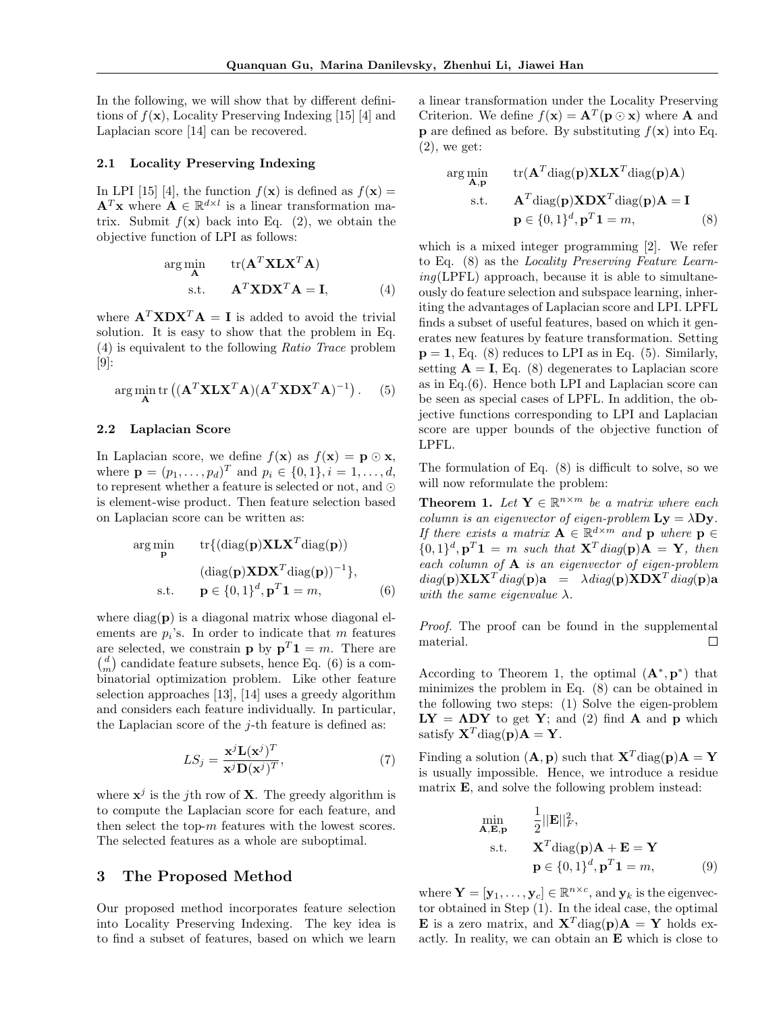In the following, we will show that by different definitions of  $f(\mathbf{x})$ , Locality Preserving Indexing [15] [4] and Laplacian score [14] can be recovered.

### **2.1 Locality Preserving Indexing**

In LPI [15] [4], the function  $f(\mathbf{x})$  is defined as  $f(\mathbf{x}) =$  $\mathbf{A}^T \mathbf{x}$  where  $\mathbf{A} \in \mathbb{R}^{d \times l}$  is a linear transformation matrix. Submit  $f(\mathbf{x})$  back into Eq. (2), we obtain the objective function of LPI as follows:

$$
\arg\min_{\mathbf{A}} \qquad \text{tr}(\mathbf{A}^T \mathbf{X} \mathbf{L} \mathbf{X}^T \mathbf{A})
$$
  
s.t. 
$$
\mathbf{A}^T \mathbf{X} \mathbf{D} \mathbf{X}^T \mathbf{A} = \mathbf{I},
$$
 (4)

where  $\mathbf{A}^T \mathbf{X} \mathbf{D} \mathbf{X}^T \mathbf{A} = \mathbf{I}$  is added to avoid the trivial solution. It is easy to show that the problem in Eq. (4) is equivalent to the following *Ratio Trace* problem  $[9]$ :

$$
\arg\min_{\mathbf{A}} \text{tr}\left( (\mathbf{A}^T \mathbf{X} \mathbf{L} \mathbf{X}^T \mathbf{A}) (\mathbf{A}^T \mathbf{X} \mathbf{D} \mathbf{X}^T \mathbf{A})^{-1} \right). \tag{5}
$$

### **2.2 Laplacian Score**

In Laplacian score, we define  $f(\mathbf{x})$  as  $f(\mathbf{x}) = \mathbf{p} \odot \mathbf{x}$ , where  $\mathbf{p} = (p_1, \ldots, p_d)^T$  and  $p_i \in \{0, 1\}, i = 1, \ldots, d$ , to represent whether a feature is selected or not, and *⊙* is element-wise product. Then feature selection based on Laplacian score can be written as:

$$
\arg\min_{\mathbf{p}} \quad \text{tr}\{(\text{diag}(\mathbf{p})\mathbf{X}\mathbf{L}\mathbf{X}^T\text{diag}(\mathbf{p}))
$$

$$
(\text{diag}(\mathbf{p})\mathbf{X}\mathbf{D}\mathbf{X}^T\text{diag}(\mathbf{p}))^{-1}\},\
$$
s.t. 
$$
\mathbf{p} \in \{0,1\}^d, \mathbf{p}^T\mathbf{1} = m,\tag{6}
$$

where  $\text{diag}(\mathbf{p})$  is a diagonal matrix whose diagonal elements are  $p_i$ 's. In order to indicate that  $m$  features are selected, we constrain **p** by  $p^T 1 = m$ . There are  $\binom{d}{m}$  candidate feature subsets, hence Eq. (6) is a combinatorial optimization problem. Like other feature selection approaches [13], [14] uses a greedy algorithm and considers each feature individually. In particular, the Laplacian score of the *j*-th feature is defined as:

$$
LS_{j} = \frac{\mathbf{x}^{j} \mathbf{L}(\mathbf{x}^{j})^{T}}{\mathbf{x}^{j} \mathbf{D}(\mathbf{x}^{j})^{T}},\tag{7}
$$

where  $\mathbf{x}^j$  is the *j*th row of **X**. The greedy algorithm is to compute the Laplacian score for each feature, and then select the top-*m* features with the lowest scores. The selected features as a whole are suboptimal.

## **3 The Proposed Method**

Our proposed method incorporates feature selection into Locality Preserving Indexing. The key idea is to find a subset of features, based on which we learn a linear transformation under the Locality Preserving Criterion. We define  $f(\mathbf{x}) = \mathbf{A}^T(\mathbf{p} \odot \mathbf{x})$  where **A** and **p** are defined as before. By substituting  $f(\mathbf{x})$  into Eq.  $(2)$ , we get:

$$
\arg\min_{\mathbf{A},\mathbf{p}} \quad \text{tr}(\mathbf{A}^T \text{diag}(\mathbf{p}) \mathbf{X} \mathbf{L} \mathbf{X}^T \text{diag}(\mathbf{p}) \mathbf{A})
$$
\n
$$
\text{s.t.} \quad \mathbf{A}^T \text{diag}(\mathbf{p}) \mathbf{X} \mathbf{D} \mathbf{X}^T \text{diag}(\mathbf{p}) \mathbf{A} = \mathbf{I}
$$
\n
$$
\mathbf{p} \in \{0,1\}^d, \mathbf{p}^T \mathbf{1} = m,
$$
\n(8)

which is a mixed integer programming [2]. We refer to Eq. (8) as the *Locality Preserving Feature Learning*(LPFL) approach, because it is able to simultaneously do feature selection and subspace learning, inheriting the advantages of Laplacian score and LPI. LPFL finds a subset of useful features, based on which it generates new features by feature transformation. Setting  $p = 1$ , Eq. (8) reduces to LPI as in Eq. (5). Similarly, setting  $A = I$ , Eq. (8) degenerates to Laplacian score as in Eq.(6). Hence both LPI and Laplacian score can be seen as special cases of LPFL. In addition, the objective functions corresponding to LPI and Laplacian score are upper bounds of the objective function of LPFL.

The formulation of Eq. (8) is difficult to solve, so we will now reformulate the problem:

**Theorem 1.** *Let*  $Y \in \mathbb{R}^{n \times m}$  *be a matrix where each column is an eigenvector of eigen-problem*  $Ly = \lambda Dy$ *. If there exists a matrix*  $A \in \mathbb{R}^{d \times m}$  *and* **p** *where*  $p \in$  $\{0,1\}^d$ ,  $\mathbf{p}^T\mathbf{1} = m$  *such that*  $\mathbf{X}^T diag(\mathbf{p})\mathbf{A} = \mathbf{Y}$ *, then each column of* **A** *is an eigenvector of eigen-problem*  $diag(\mathbf{p})\mathbf{XLX}^T diag(\mathbf{p})\mathbf{a} = \lambda diag(\mathbf{p})\mathbf{X}\mathbf{DX}^T diag(\mathbf{p})\mathbf{a}$ *with the same eigenvalue*  $\lambda$ *.* 

*Proof.* The proof can be found in the supplemental material.  $\Box$ 

According to Theorem 1, the optimal  $(\mathbf{A}^*, \mathbf{p}^*)$  that minimizes the problem in Eq. (8) can be obtained in the following two steps: (1) Solve the eigen-problem  $LY = ADY$  to get Y; and (2) find **A** and **p** which satisfy  $X^T$  diag( $p$ ) $A = Y$ .

Finding a solution  $(A, p)$  such that  $X^T$  diag( $p$ ) $A = Y$ is usually impossible. Hence, we introduce a residue matrix **E**, and solve the following problem instead:

$$
\min_{\mathbf{A}, \mathbf{E}, \mathbf{p}} \quad \frac{1}{2} ||\mathbf{E}||_F^2,
$$
\n
$$
\text{s.t.} \quad \mathbf{X}^T \text{diag}(\mathbf{p}) \mathbf{A} + \mathbf{E} = \mathbf{Y}
$$
\n
$$
\mathbf{p} \in \{0, 1\}^d, \mathbf{p}^T \mathbf{1} = m,
$$
\n(9)

where  $\mathbf{Y} = [\mathbf{y}_1, \dots, \mathbf{y}_c] \in \mathbb{R}^{n \times c}$ , and  $\mathbf{y}_k$  is the eigenvector obtained in Step (1). In the ideal case, the optimal **E** is a zero matrix, and  $X^T$  diag(**p**)**A** = **Y** holds exactly. In reality, we can obtain an **E** which is close to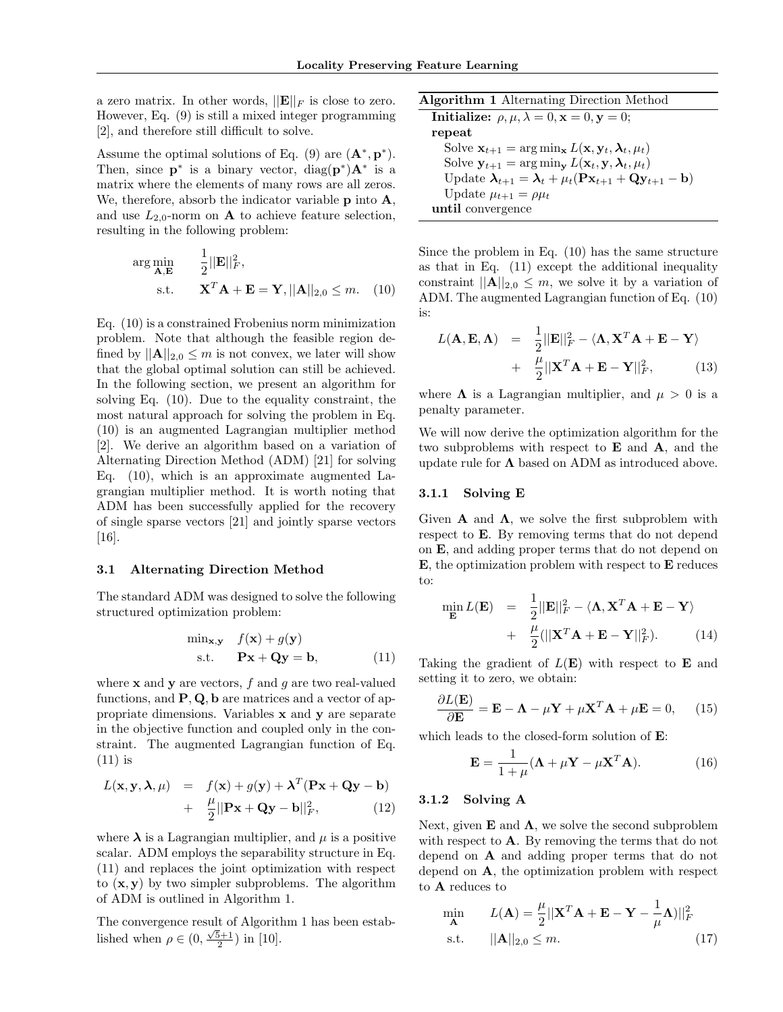a zero matrix. In other words,  $||\mathbf{E}||_F$  is close to zero. However, Eq. (9) is still a mixed integer programming [2], and therefore still difficult to solve.

Assume the optimal solutions of Eq. (9) are  $(\mathbf{A}^*, \mathbf{p}^*)$ . Then, since  $\mathbf{p}^*$  is a binary vector, diag $(\mathbf{p}^*)\mathbf{A}^*$  is a matrix where the elements of many rows are all zeros. We, therefore, absorb the indicator variable **p** into **A**, and use  $L_{2,0}$ -norm on **A** to achieve feature selection, resulting in the following problem:

$$
\arg\min_{\mathbf{A}, \mathbf{E}} \quad \frac{1}{2} ||\mathbf{E}||_F^2,
$$
  
s.t. 
$$
\mathbf{X}^T \mathbf{A} + \mathbf{E} = \mathbf{Y}, ||\mathbf{A}||_{2,0} \le m. \quad (10)
$$

Eq. (10) is a constrained Frobenius norm minimization problem. Note that although the feasible region defined by  $||\mathbf{A}||_{2,0} \leq m$  is not convex, we later will show that the global optimal solution can still be achieved. In the following section, we present an algorithm for solving Eq. (10). Due to the equality constraint, the most natural approach for solving the problem in Eq. (10) is an augmented Lagrangian multiplier method [2]. We derive an algorithm based on a variation of Alternating Direction Method (ADM) [21] for solving Eq. (10), which is an approximate augmented Lagrangian multiplier method. It is worth noting that ADM has been successfully applied for the recovery of single sparse vectors [21] and jointly sparse vectors [16].

### **3.1 Alternating Direction Method**

The standard ADM was designed to solve the following structured optimization problem:

$$
\min_{\mathbf{x}, \mathbf{y}} f(\mathbf{x}) + g(\mathbf{y})
$$
  
s.t.  $\mathbf{P}\mathbf{x} + \mathbf{Q}\mathbf{y} = \mathbf{b},$  (11)

where **x** and **y** are vectors, *f* and *g* are two real-valued functions, and **P***,* **Q***,* **b** are matrices and a vector of appropriate dimensions. Variables **x** and **y** are separate in the objective function and coupled only in the constraint. The augmented Lagrangian function of Eq. (11) is

$$
L(\mathbf{x}, \mathbf{y}, \boldsymbol{\lambda}, \mu) = f(\mathbf{x}) + g(\mathbf{y}) + \boldsymbol{\lambda}^T (\mathbf{P} \mathbf{x} + \mathbf{Q} \mathbf{y} - \mathbf{b})
$$
  
+ 
$$
\frac{\mu}{2} ||\mathbf{P} \mathbf{x} + \mathbf{Q} \mathbf{y} - \mathbf{b}||_F^2, \qquad (12)
$$

where  $\lambda$  is a Lagrangian multiplier, and  $\mu$  is a positive scalar. ADM employs the separability structure in Eq. (11) and replaces the joint optimization with respect to  $(\mathbf{x}, \mathbf{y})$  by two simpler subproblems. The algorithm of ADM is outlined in Algorithm 1.

The convergence result of Algorithm 1 has been established when  $\rho \in (0, \frac{\sqrt{5}+1}{2})$  in [10].

| <b>Algorithm 1</b> Alternating Direction Method                                                              |
|--------------------------------------------------------------------------------------------------------------|
| Initialize: $\rho, \mu, \lambda = 0, \mathbf{x} = 0, \mathbf{y} = 0;$                                        |
| repeat                                                                                                       |
| Solve $\mathbf{x}_{t+1} = \arg \min_{\mathbf{x}} L(\mathbf{x}, \mathbf{y}_t, \boldsymbol{\lambda}_t, \mu_t)$ |
| Solve $\mathbf{y}_{t+1} = \arg\min_{\mathbf{y}} L(\mathbf{x}_t, \mathbf{y}, \boldsymbol{\lambda}_t, \mu_t)$  |
| Update $\lambda_{t+1} = \lambda_t + \mu_t (\mathbf{Px}_{t+1} + \mathbf{Qy}_{t+1} - \mathbf{b})$              |
| Update $\mu_{t+1} = \rho \mu_t$                                                                              |
| until convergence                                                                                            |
|                                                                                                              |

Since the problem in Eq. (10) has the same structure as that in Eq. (11) except the additional inequality constraint  $||A||_{2,0} \leq m$ , we solve it by a variation of ADM. The augmented Lagrangian function of Eq. (10) is:

$$
L(\mathbf{A}, \mathbf{E}, \mathbf{\Lambda}) = \frac{1}{2} ||\mathbf{E}||_F^2 - \langle \mathbf{\Lambda}, \mathbf{X}^T \mathbf{A} + \mathbf{E} - \mathbf{Y} \rangle
$$
  
+ 
$$
\frac{\mu}{2} ||\mathbf{X}^T \mathbf{A} + \mathbf{E} - \mathbf{Y}||_F^2, \qquad (13)
$$

where  $\Lambda$  is a Lagrangian multiplier, and  $\mu > 0$  is a penalty parameter.

We will now derive the optimization algorithm for the two subproblems with respect to **E** and **A**, and the update rule for **Λ** based on ADM as introduced above.

#### **3.1.1 Solving E**

min

Given **A** and  $\Lambda$ , we solve the first subproblem with respect to **E**. By removing terms that do not depend on **E**, and adding proper terms that do not depend on **E**, the optimization problem with respect to **E** reduces to:

$$
\min_{\mathbf{E}} L(\mathbf{E}) = \frac{1}{2} ||\mathbf{E}||_F^2 - \langle \mathbf{\Lambda}, \mathbf{X}^T \mathbf{A} + \mathbf{E} - \mathbf{Y} \rangle \n+ \frac{\mu}{2} (||\mathbf{X}^T \mathbf{A} + \mathbf{E} - \mathbf{Y}||_F^2).
$$
\n(14)

Taking the gradient of *L*(**E**) with respect to **E** and setting it to zero, we obtain:

$$
\frac{\partial L(\mathbf{E})}{\partial \mathbf{E}} = \mathbf{E} - \mathbf{\Lambda} - \mu \mathbf{Y} + \mu \mathbf{X}^T \mathbf{A} + \mu \mathbf{E} = 0, \quad (15)
$$

which leads to the closed-form solution of **E**:

$$
\mathbf{E} = \frac{1}{1+\mu} (\mathbf{\Lambda} + \mu \mathbf{Y} - \mu \mathbf{X}^T \mathbf{A}).
$$
 (16)

## **3.1.2 Solving A**

Next, given  $\mathbf E$  and  $\Lambda$ , we solve the second subproblem with respect to **A**. By removing the terms that do not depend on **A** and adding proper terms that do not depend on **A**, the optimization problem with respect to **A** reduces to

$$
\min_{\mathbf{A}} \qquad L(\mathbf{A}) = \frac{\mu}{2} ||\mathbf{X}^T \mathbf{A} + \mathbf{E} - \mathbf{Y} - \frac{1}{\mu} \mathbf{\Lambda})||_F^2
$$
\ns.t.

\n
$$
||\mathbf{A}||_{2,0} \leq m. \tag{17}
$$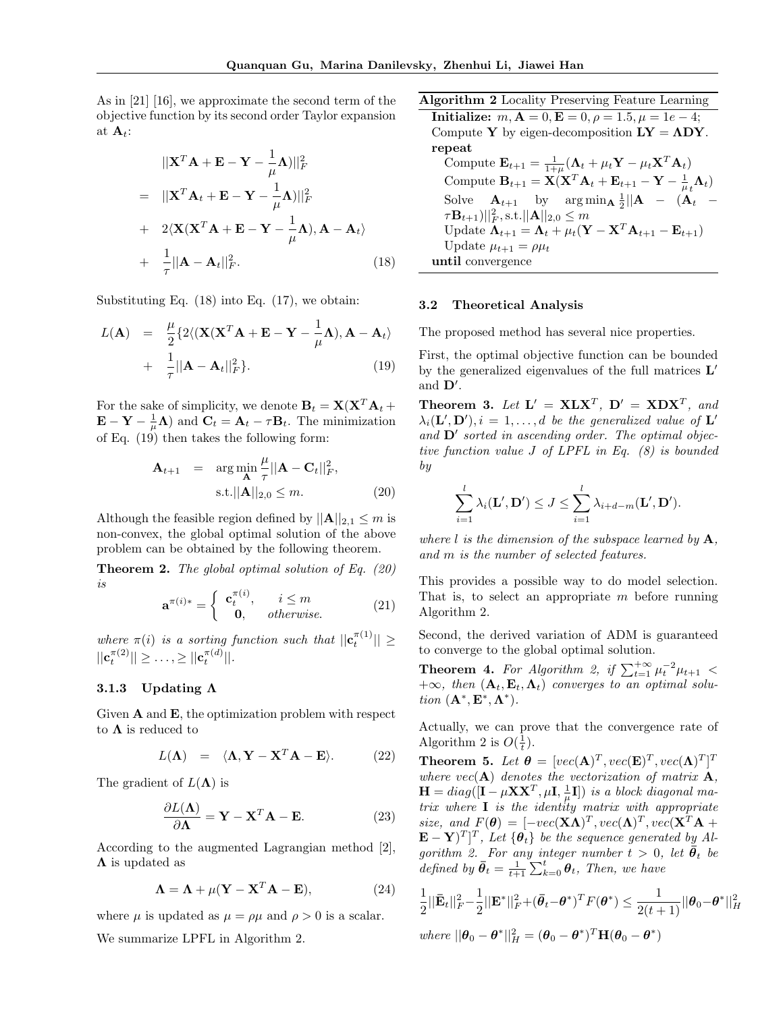As in [21] [16], we approximate the second term of the objective function by its second order Taylor expansion at  $\mathbf{A}_t$ :

$$
||\mathbf{X}^T \mathbf{A} + \mathbf{E} - \mathbf{Y} - \frac{1}{\mu} \mathbf{\Lambda})||_F^2
$$
  
= 
$$
||\mathbf{X}^T \mathbf{A}_t + \mathbf{E} - \mathbf{Y} - \frac{1}{\mu} \mathbf{\Lambda})||_F^2
$$
  
+ 
$$
2\langle \mathbf{X}(\mathbf{X}^T \mathbf{A} + \mathbf{E} - \mathbf{Y} - \frac{1}{\mu} \mathbf{\Lambda}), \mathbf{A} - \mathbf{A}_t \rangle
$$
  
+ 
$$
\frac{1}{\tau} ||\mathbf{A} - \mathbf{A}_t||_F^2.
$$
(18)

Substituting Eq. (18) into Eq. (17), we obtain:

$$
L(\mathbf{A}) = \frac{\mu}{2} \{ 2 \langle (\mathbf{X} (\mathbf{X}^T \mathbf{A} + \mathbf{E} - \mathbf{Y} - \frac{1}{\mu} \mathbf{\Lambda}), \mathbf{A} - \mathbf{A}_t \rangle + \frac{1}{\tau} ||\mathbf{A} - \mathbf{A}_t||_F^2 \}.
$$
 (19)

For the sake of simplicity, we denote  $\mathbf{B}_t = \mathbf{X}(\mathbf{X}^T \mathbf{A}_t + \mathbf{B}_t)$  $\mathbf{E} - \mathbf{Y} - \frac{1}{\mu} \mathbf{\Lambda}$  and  $\mathbf{C}_t = \mathbf{A}_t - \tau \mathbf{B}_t$ . The minimization of Eq. (19) then takes the following form:

$$
\mathbf{A}_{t+1} = \underset{\mathbf{A}}{\arg \min} \frac{\mu}{\tau} ||\mathbf{A} - \mathbf{C}_t||_F^2, \text{s.t.} ||\mathbf{A}||_{2,0} \le m.
$$
\n(20)

Although the feasible region defined by  $||A||_{2,1} \leq m$  is non-convex, the global optimal solution of the above problem can be obtained by the following theorem.

**Theorem 2.** *The global optimal solution of Eq. (20) is π*(*i*)

$$
\mathbf{a}^{\pi(i)*} = \begin{cases} \mathbf{c}_t^{\pi(i)}, & i \le m \\ \mathbf{0}, & \text{otherwise.} \end{cases} \tag{21}
$$

*where*  $\pi(i)$  *is a sorting function such that*  $||\mathbf{c}_t^{\pi(1)}|| \ge$  $||\mathbf{c}_t^{\pi(2)}|| \geq \ldots, \geq ||\mathbf{c}_t^{\pi(d)}||.$ 

# **3.1.3 Updating Λ**

Given **A** and **E**, the optimization problem with respect to  $\Lambda$  is reduced to

$$
L(\Lambda) = \langle \Lambda, \mathbf{Y} - \mathbf{X}^T \mathbf{A} - \mathbf{E} \rangle.
$$
 (22)

The gradient of  $L(\Lambda)$  is

$$
\frac{\partial L(\mathbf{\Lambda})}{\partial \mathbf{\Lambda}} = \mathbf{Y} - \mathbf{X}^T \mathbf{A} - \mathbf{E}.
$$
 (23)

According to the augmented Lagrangian method [2], **Λ** is updated as

$$
\Lambda = \Lambda + \mu (\mathbf{Y} - \mathbf{X}^T \mathbf{A} - \mathbf{E}), \tag{24}
$$

where  $\mu$  is updated as  $\mu = \rho \mu$  and  $\rho > 0$  is a scalar.

We summarize LPFL in Algorithm 2.

**Algorithm 2** Locality Preserving Feature Learning

**Initialize:**  $m, A = 0, E = 0, \rho = 1.5, \mu = 1e - 4;$ Compute **Y** by eigen-decomposition  $LY = \Lambda DY$ . **repeat**

Compute  $\mathbf{E}_{t+1} = \frac{1}{1+\mu}(\mathbf{\Lambda}_t + \mu_t \mathbf{Y} - \mu_t \mathbf{X}^T \mathbf{A}_t)$ Compute  $\mathbf{B}_{t+1} = \mathbf{X}(\mathbf{X}^T \mathbf{A}_t + \mathbf{E}_{t+1} - \mathbf{Y} - \frac{1}{\mu_t} \mathbf{\Lambda}_t)$ Solve  $\mathbf{A}_{t+1}$  by arg min $\mathbf{A} \frac{1}{2} || \mathbf{A} - (\mathbf{A}_t \|\tau\mathbf{B}_{t+1}\|_{F}^{2}$ , s.t. $||\mathbf{A}||_{2,0} \leq m$ Update  $\Lambda_{t+1} = \Lambda_t + \mu_t(\mathbf{Y} - \mathbf{X}^T \mathbf{A}_{t+1} - \mathbf{E}_{t+1})$ Update  $\mu_{t+1} = \rho \mu_t$ **until** convergence

#### **3.2 Theoretical Analysis**

The proposed method has several nice properties.

First, the optimal objective function can be bounded by the generalized eigenvalues of the full matrices **L** *′* and **D***′* .

**Theorem 3.** Let  $\mathbf{L}' = \mathbf{X}\mathbf{L}\mathbf{X}^T$ ,  $\mathbf{D}' = \mathbf{X}\mathbf{D}\mathbf{X}^T$ , and  $\lambda_i(\mathbf{L}', \mathbf{D}'), i = 1, \ldots, d$  *be the generalized value of*  $\mathbf{L}'$ *and* **D***′ sorted in ascending order. The optimal objective function value J of LPFL in Eq. (8) is bounded by*

$$
\sum_{i=1}^l \lambda_i(\mathbf{L}', \mathbf{D}') \leq J \leq \sum_{i=1}^l \lambda_{i+d-m}(\mathbf{L}', \mathbf{D}').
$$

*where l is the dimension of the subspace learned by* **A***, and m is the number of selected features.*

This provides a possible way to do model selection. That is, to select an appropriate *m* before running Algorithm 2.

Second, the derived variation of ADM is guaranteed to converge to the global optimal solution.

**Theorem 4.** For Algorithm 2, if  $\sum_{t=1}^{+\infty} \mu_t^{-2} \mu_{t+1}$  <  $+\infty$ , then  $(\mathbf{A}_t, \mathbf{E}_t, \mathbf{\Lambda}_t)$  converges to an optimal solu*tion*  $(\mathbf{A}^*, \mathbf{E}^*, \mathbf{\Lambda}^*)$ *.* 

Actually, we can prove that the convergence rate of Algorithm 2 is  $O(\frac{1}{t})$ .

**Theorem 5.** *Let*  $\boldsymbol{\theta} = [vec(\mathbf{A})^T, vec(\mathbf{E})^T, vec(\mathbf{\Lambda})^T]^T$ *where vec*(**A**) *denotes the vectorization of matrix* **A***,*  $\mathbf{H} = diag([\mathbf{I} - \mu \mathbf{X} \mathbf{X}^T, \mu \mathbf{I}, \frac{1}{\mu} \mathbf{I}])$  is a block diagonal ma*trix where* **I** *is the identity matrix with appropriate size, and*  $F(\theta) = [-\text{vec}(\mathbf{X}\mathbf{\Lambda})^T, \text{vec}(\mathbf{\Lambda})^T, \text{vec}(\mathbf{X}^T\mathbf{A} + \theta)$  $(\mathbf{E} - \mathbf{Y})^T]^T$ , Let  $\{\boldsymbol{\theta}_t\}$  be the sequence generated by Al*gorithm 2. For any integer number*  $t > 0$ *, let*  $\bar{\theta}_t$  *be*  $defined by \vec{\theta}_t = \frac{1}{t+1} \sum_{k=0}^t \theta_t$ , Then, we have

$$
\begin{aligned} &\frac{1}{2}||\mathbf{\bar{E}}_t||_F^2 - \frac{1}{2}||\mathbf{E}^*||_F^2 + (\bar{\boldsymbol{\theta}}_t - \boldsymbol{\theta}^*)^T F(\boldsymbol{\theta}^*) \le \frac{1}{2(t+1)}||\boldsymbol{\theta}_0 - \boldsymbol{\theta}^*||_H^2\\ &\text{where } ||\boldsymbol{\theta}_0 - \boldsymbol{\theta}^*||_H^2 = (\boldsymbol{\theta}_0 - \boldsymbol{\theta}^*)^T \mathbf{H}(\boldsymbol{\theta}_0 - \boldsymbol{\theta}^*) \end{aligned}
$$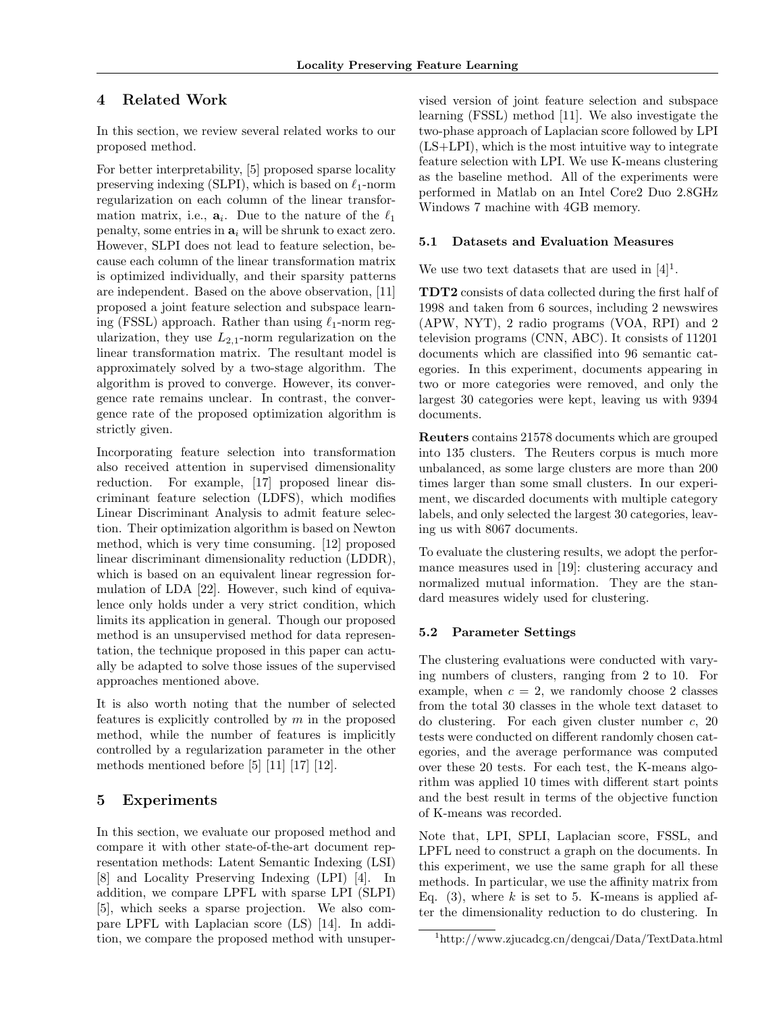# **4 Related Work**

In this section, we review several related works to our proposed method.

For better interpretability, [5] proposed sparse locality preserving indexing (SLPI), which is based on *ℓ*1-norm regularization on each column of the linear transformation matrix, i.e.,  $a_i$ . Due to the nature of the  $\ell_1$ penalty, some entries in **a***<sup>i</sup>* will be shrunk to exact zero. However, SLPI does not lead to feature selection, because each column of the linear transformation matrix is optimized individually, and their sparsity patterns are independent. Based on the above observation, [11] proposed a joint feature selection and subspace learning (FSSL) approach. Rather than using *ℓ*1-norm regularization, they use  $L_{2,1}$ -norm regularization on the linear transformation matrix. The resultant model is approximately solved by a two-stage algorithm. The algorithm is proved to converge. However, its convergence rate remains unclear. In contrast, the convergence rate of the proposed optimization algorithm is strictly given.

Incorporating feature selection into transformation also received attention in supervised dimensionality reduction. For example, [17] proposed linear discriminant feature selection (LDFS), which modifies Linear Discriminant Analysis to admit feature selection. Their optimization algorithm is based on Newton method, which is very time consuming. [12] proposed linear discriminant dimensionality reduction (LDDR), which is based on an equivalent linear regression formulation of LDA [22]. However, such kind of equivalence only holds under a very strict condition, which limits its application in general. Though our proposed method is an unsupervised method for data representation, the technique proposed in this paper can actually be adapted to solve those issues of the supervised approaches mentioned above.

It is also worth noting that the number of selected features is explicitly controlled by *m* in the proposed method, while the number of features is implicitly controlled by a regularization parameter in the other methods mentioned before [5] [11] [17] [12].

# **5 Experiments**

In this section, we evaluate our proposed method and compare it with other state-of-the-art document representation methods: Latent Semantic Indexing (LSI) [8] and Locality Preserving Indexing (LPI) [4]. In addition, we compare LPFL with sparse LPI (SLPI) [5], which seeks a sparse projection. We also compare LPFL with Laplacian score (LS) [14]. In addition, we compare the proposed method with unsupervised version of joint feature selection and subspace learning (FSSL) method [11]. We also investigate the two-phase approach of Laplacian score followed by LPI (LS+LPI), which is the most intuitive way to integrate feature selection with LPI. We use K-means clustering as the baseline method. All of the experiments were performed in Matlab on an Intel Core2 Duo 2.8GHz Windows 7 machine with 4GB memory.

# **5.1 Datasets and Evaluation Measures**

We use two text datasets that are used in  $[4]$ <sup>1</sup>.

**TDT2** consists of data collected during the first half of 1998 and taken from 6 sources, including 2 newswires (APW, NYT), 2 radio programs (VOA, RPI) and 2 television programs (CNN, ABC). It consists of 11201 documents which are classified into 96 semantic categories. In this experiment, documents appearing in two or more categories were removed, and only the largest 30 categories were kept, leaving us with 9394 documents.

**Reuters** contains 21578 documents which are grouped into 135 clusters. The Reuters corpus is much more unbalanced, as some large clusters are more than 200 times larger than some small clusters. In our experiment, we discarded documents with multiple category labels, and only selected the largest 30 categories, leaving us with 8067 documents.

To evaluate the clustering results, we adopt the performance measures used in [19]: clustering accuracy and normalized mutual information. They are the standard measures widely used for clustering.

# **5.2 Parameter Settings**

The clustering evaluations were conducted with varying numbers of clusters, ranging from 2 to 10. For example, when  $c = 2$ , we randomly choose 2 classes from the total 30 classes in the whole text dataset to do clustering. For each given cluster number *c*, 20 tests were conducted on different randomly chosen categories, and the average performance was computed over these 20 tests. For each test, the K-means algorithm was applied 10 times with different start points and the best result in terms of the objective function of K-means was recorded.

Note that, LPI, SPLI, Laplacian score, FSSL, and LPFL need to construct a graph on the documents. In this experiment, we use the same graph for all these methods. In particular, we use the affinity matrix from Eq.  $(3)$ , where k is set to 5. K-means is applied after the dimensionality reduction to do clustering. In

<sup>1</sup>http://www.zjucadcg.cn/dengcai/Data/TextData.html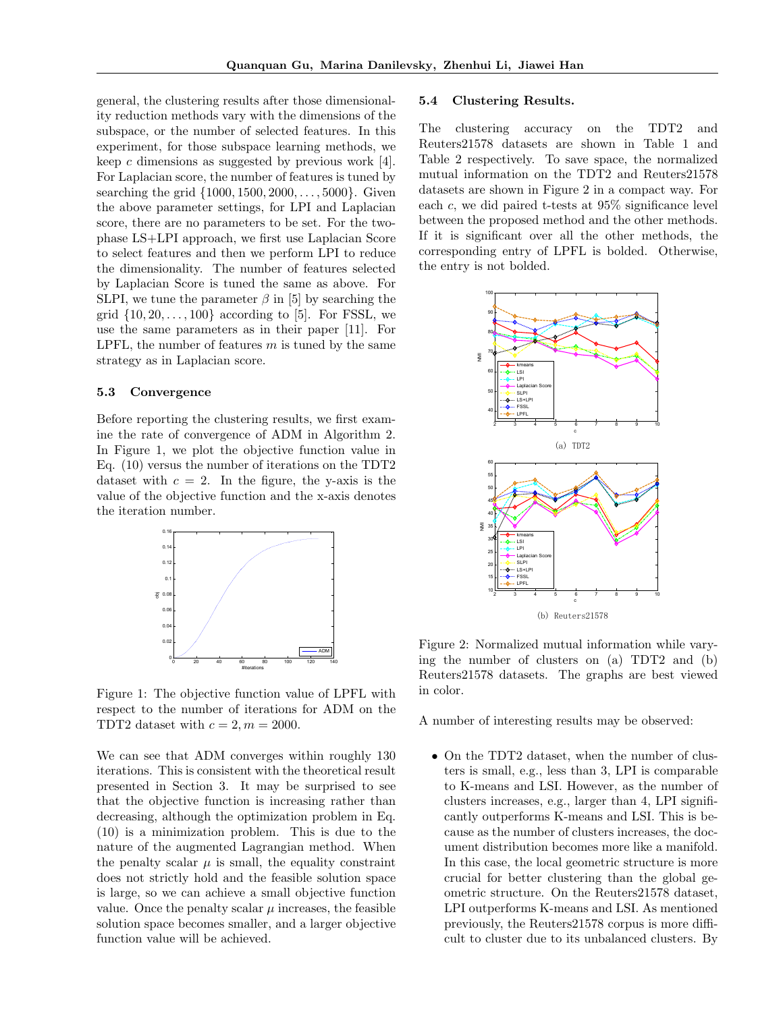general, the clustering results after those dimensionality reduction methods vary with the dimensions of the subspace, or the number of selected features. In this experiment, for those subspace learning methods, we keep *c* dimensions as suggested by previous work [4]. For Laplacian score, the number of features is tuned by searching the grid *{*1000*,* 1500*,* 2000*, . . . ,* 5000*}*. Given the above parameter settings, for LPI and Laplacian score, there are no parameters to be set. For the twophase LS+LPI approach, we first use Laplacian Score to select features and then we perform LPI to reduce the dimensionality. The number of features selected by Laplacian Score is tuned the same as above. For SLPI, we tune the parameter  $\beta$  in [5] by searching the grid  $\{10, 20, \ldots, 100\}$  according to [5]. For FSSL, we use the same parameters as in their paper [11]. For LPFL, the number of features *m* is tuned by the same strategy as in Laplacian score.

### **5.3 Convergence**

Before reporting the clustering results, we first examine the rate of convergence of ADM in Algorithm 2. In Figure 1, we plot the objective function value in Eq. (10) versus the number of iterations on the TDT2 dataset with  $c = 2$ . In the figure, the y-axis is the value of the objective function and the x-axis denotes the iteration number.



Figure 1: The objective function value of LPFL with respect to the number of iterations for ADM on the TDT2 dataset with  $c = 2, m = 2000$ .

We can see that ADM converges within roughly 130 iterations. This is consistent with the theoretical result presented in Section 3. It may be surprised to see that the objective function is increasing rather than decreasing, although the optimization problem in Eq. (10) is a minimization problem. This is due to the nature of the augmented Lagrangian method. When the penalty scalar  $\mu$  is small, the equality constraint does not strictly hold and the feasible solution space is large, so we can achieve a small objective function value. Once the penalty scalar  $\mu$  increases, the feasible solution space becomes smaller, and a larger objective function value will be achieved.

#### **5.4 Clustering Results.**

The clustering accuracy on the TDT2 and Reuters21578 datasets are shown in Table 1 and Table 2 respectively. To save space, the normalized mutual information on the TDT2 and Reuters21578 datasets are shown in Figure 2 in a compact way. For each *c*, we did paired t-tests at 95% significance level between the proposed method and the other methods. If it is significant over all the other methods, the corresponding entry of LPFL is bolded. Otherwise, the entry is not bolded.



Figure 2: Normalized mutual information while varying the number of clusters on (a) TDT2 and (b) Reuters21578 datasets. The graphs are best viewed in color.

A number of interesting results may be observed:

• On the TDT2 dataset, when the number of clusters is small, e.g., less than 3, LPI is comparable to K-means and LSI. However, as the number of clusters increases, e.g., larger than 4, LPI significantly outperforms K-means and LSI. This is because as the number of clusters increases, the document distribution becomes more like a manifold. In this case, the local geometric structure is more crucial for better clustering than the global geometric structure. On the Reuters21578 dataset, LPI outperforms K-means and LSI. As mentioned previously, the Reuters21578 corpus is more difficult to cluster due to its unbalanced clusters. By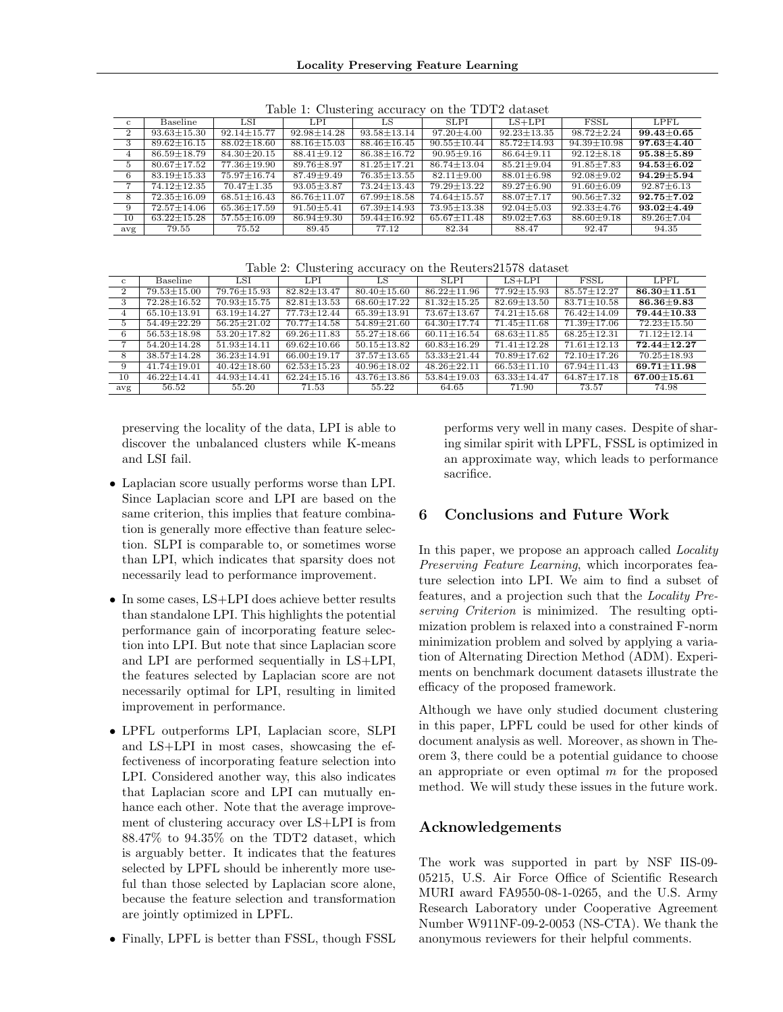| $\frac{1}{2}$<br>$0.11 \, 0.110 \, 100 \, 100 \, 100 \, 000 \, 000$ |                              |                   |                   |                   |                              |                   |                   |                      |  |
|---------------------------------------------------------------------|------------------------------|-------------------|-------------------|-------------------|------------------------------|-------------------|-------------------|----------------------|--|
| $\mathbf{c}$                                                        | Baseline                     | $_{\rm LSI}$      | LPL               | LS                | <b>SLPI</b>                  | $LS+LPI$          | FSSL              | LPFL                 |  |
| $\overline{2}$                                                      | $93.63 \pm 15.30$            | $92.14 \pm 15.77$ | $92.98 \pm 14.28$ | $93.58 \pm 13.14$ | $97.20 \pm 4.00$             | $92.23 \pm 13.35$ | $98.72 \pm 2.24$  | $99.43 \pm 0.65$     |  |
| 3                                                                   | $89.62 \pm 16.15$            | $88.02 \pm 18.60$ | $88.16 \pm 15.03$ | $88.46 \pm 16.45$ | $90.55 \pm 10.44$            | $85.72 \pm 14.93$ | $94.39 \pm 10.98$ | $97.63 \pm 4.40$     |  |
| $\overline{4}$                                                      | $86.59 \pm 18.79$            | $84.30 \pm 20.15$ | $88.41 \pm 9.12$  | $86.38 \pm 16.72$ | $90.95 \pm 9.16$             | $86.64 \pm 9.11$  | $92.12 \pm 8.18$  | $95.38 \pm 5.89$     |  |
| $5^{\circ}$                                                         | $80.67 \pm 17.52$            | $77.36 \pm 19.90$ | $89.76 \pm 8.97$  | $81.25 \pm 17.21$ | $86.74 \pm 13.04$            | $85.21 \pm 9.04$  | $91.85 \pm 7.83$  | $94.53 \!\pm\! 6.02$ |  |
| 6                                                                   | $83.19 \pm 15.33$            | $75.97 \pm 16.74$ | $87.49 \pm 9.49$  | $76.35 \pm 13.55$ | $82.11 \pm 9.00$             | $88.01 \pm 6.98$  | $92.08 \pm 9.02$  | $94.29 \pm 5.94$     |  |
| $\overline{ }$                                                      | $\overline{74.12 \pm 12.35}$ | $70.47 \pm 1.35$  | $93.05 \pm 3.87$  | $73.24 \pm 13.43$ | $\overline{79.29 \pm 13.22}$ | $89.27 \pm 6.90$  | $91.60 \pm 6.09$  | $92.87 \pm 6.13$     |  |
| 8                                                                   | $72.35 \pm 16.09$            | $68.51 \pm 16.43$ | $86.76 \pm 11.07$ | $67.99 \pm 18.58$ | $74.64 \pm 15.57$            | $88.07 \pm 7.17$  | $90.56 \pm 7.32$  | $92.75 \pm 7.02$     |  |
| 9                                                                   | $72.57 \pm 14.06$            | $65.36 \pm 17.59$ | $91.50 \pm 5.41$  | $67.39 \pm 14.93$ | $73.95 \pm 13.38$            | $92.04 \pm 5.03$  | $92.33 \pm 4.76$  | $93.02 \pm 4.49$     |  |
| 10                                                                  | $63.22 \pm 15.28$            | $57.55 \pm 16.09$ | $86.94 \pm 9.30$  | $59.44 \pm 16.92$ | $65.67 \pm 11.48$            | $89.02 \pm 7.63$  | $88.60 \pm 9.18$  | $89.26 \pm 7.04$     |  |
| avg                                                                 | 79.55                        | 75.52             | 89.45             | 77.12             | 82.34                        | 88.47             | 92.47             | 94.35                |  |

Table 1: Clustering accuracy on the TDT2 dataset

Table 2: Clustering accuracy on the Reuters21578 dataset

| C.             | Baseline          | LSI               | LPI               | LS                | <b>SLPI</b>       | $LS+LPI$          | <b>FSSL</b>       | <b>LPFL</b>       |
|----------------|-------------------|-------------------|-------------------|-------------------|-------------------|-------------------|-------------------|-------------------|
| $\overline{2}$ | $79.53 \pm 15.00$ | 79.76 ± 15.93     | $82.82 \pm 13.47$ | $80.40 \pm 15.60$ | $86.22 \pm 11.96$ | $77.92 \pm 15.93$ | $85.57 \pm 12.27$ | $86.30 \pm 11.51$ |
| 3              | $72.28 \pm 16.52$ | $70.93 \pm 15.75$ | $82.81 \pm 13.53$ | $68.60 \pm 17.22$ | $81.32 \pm 15.25$ | $82.69 \pm 13.50$ | $83.71 \pm 10.58$ | $86.36 \pm 9.83$  |
| 4              | $65.10 + 13.91$   | $63.19 \pm 14.27$ | $77.73 + 12.44$   | $65.39 + 13.91$   | $73.67 \pm 13.67$ | $74.21 + 15.68$   | $76.42 \pm 14.09$ | $79.44 + 10.33$   |
| $5 -$          | $54.49 \pm 22.29$ | $56.25 \pm 21.02$ | $70.77 \pm 14.58$ | $54.89 \pm 21.60$ | $64.30 \pm 17.74$ | $71.45 \pm 11.68$ | $71.39 \pm 17.06$ | $72.23 \pm 15.50$ |
| 6              | $56.53 \pm 18.98$ | $53.20 \pm 17.82$ | $69.26 \pm 11.83$ | $55.27 \pm 18.66$ | $60.11 \pm 16.54$ | $68.63 \pm 11.85$ | $68.25 \pm 12.31$ | $71.12 + 12.14$   |
|                | $54.20 \pm 14.28$ | $51.93 \pm 14.11$ | $69.62 + 10.66$   | $50.15 \pm 13.82$ | $60.83 \pm 16.29$ | $71.41 \pm 12.28$ | $71.61 \pm 12.13$ | $72.44 + 12.27$   |
| 8              | $38.57 \pm 14.28$ | $36.23 \pm 14.91$ | $66.00 \pm 19.17$ | $37.57 \pm 13.65$ | $53.33 \pm 21.44$ | $70.89 \pm 17.62$ | $72.10 \pm 17.26$ | $70.25 \pm 18.93$ |
| 9              | $41.74 + 19.01$   | $40.42 \pm 18.60$ | $62.53 + 15.23$   | $40.96 \pm 18.02$ | $48.26 \pm 22.11$ | $66.53 \pm 11.10$ | $67.94 \pm 11.43$ | $69.71 + 11.98$   |
| 10             | $46.22 \pm 14.41$ | $44.93 \pm 14.41$ | $62.24 \pm 15.16$ | $43.76 \pm 13.86$ | $53.84 \pm 19.03$ | $63.33 \pm 14.47$ | $64.87 \pm 17.18$ | $67.00 \pm 15.61$ |
| avg            | 56.52             | 55.20             | 71.53             | 55.22             | 64.65             | 71.90             | 73.57             | 74.98             |

preserving the locality of the data, LPI is able to discover the unbalanced clusters while K-means and LSI fail.

- *•* Laplacian score usually performs worse than LPI. Since Laplacian score and LPI are based on the same criterion, this implies that feature combination is generally more effective than feature selection. SLPI is comparable to, or sometimes worse than LPI, which indicates that sparsity does not necessarily lead to performance improvement.
- In some cases, LS+LPI does achieve better results than standalone LPI. This highlights the potential performance gain of incorporating feature selection into LPI. But note that since Laplacian score and LPI are performed sequentially in LS+LPI, the features selected by Laplacian score are not necessarily optimal for LPI, resulting in limited improvement in performance.
- *•* LPFL outperforms LPI, Laplacian score, SLPI and LS+LPI in most cases, showcasing the effectiveness of incorporating feature selection into LPI. Considered another way, this also indicates that Laplacian score and LPI can mutually enhance each other. Note that the average improvement of clustering accuracy over LS+LPI is from 88*.*47% to 94*.*35% on the TDT2 dataset, which is arguably better. It indicates that the features selected by LPFL should be inherently more useful than those selected by Laplacian score alone, because the feature selection and transformation are jointly optimized in LPFL.
- *•* Finally, LPFL is better than FSSL, though FSSL

performs very well in many cases. Despite of sharing similar spirit with LPFL, FSSL is optimized in an approximate way, which leads to performance sacrifice.

# **6 Conclusions and Future Work**

In this paper, we propose an approach called *Locality Preserving Feature Learning*, which incorporates feature selection into LPI. We aim to find a subset of features, and a projection such that the *Locality Preserving Criterion* is minimized. The resulting optimization problem is relaxed into a constrained F-norm minimization problem and solved by applying a variation of Alternating Direction Method (ADM). Experiments on benchmark document datasets illustrate the efficacy of the proposed framework.

Although we have only studied document clustering in this paper, LPFL could be used for other kinds of document analysis as well. Moreover, as shown in Theorem 3, there could be a potential guidance to choose an appropriate or even optimal *m* for the proposed method. We will study these issues in the future work.

# **Acknowledgements**

The work was supported in part by NSF IIS-09- 05215, U.S. Air Force Office of Scientific Research MURI award FA9550-08-1-0265, and the U.S. Army Research Laboratory under Cooperative Agreement Number W911NF-09-2-0053 (NS-CTA). We thank the anonymous reviewers for their helpful comments.